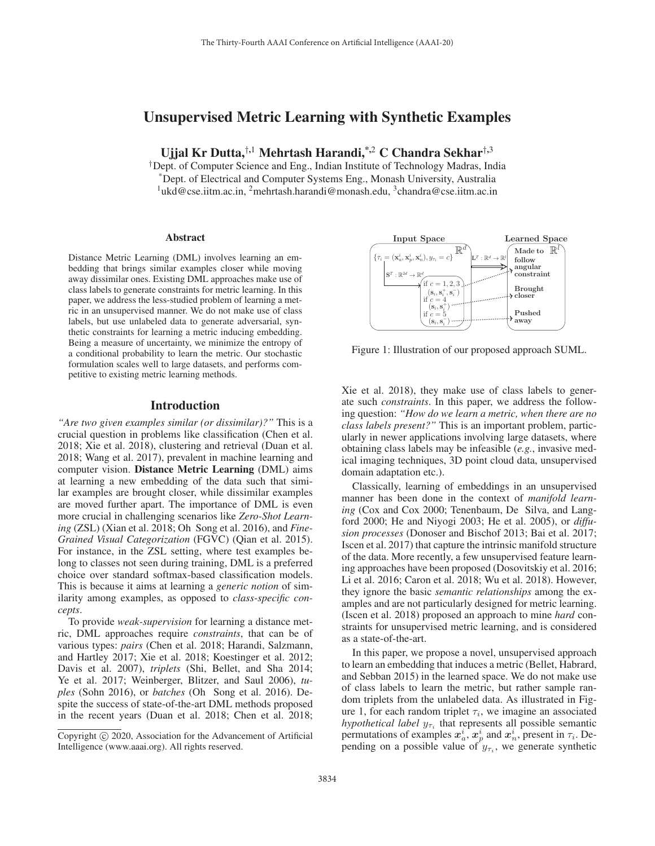# Unsupervised Metric Learning with Synthetic Examples

Ujjal Kr Dutta,†,<sup>1</sup> Mehrtash Harandi,\*,<sup>2</sup> C Chandra Sekhar†,<sup>3</sup>

†Dept. of Computer Science and Eng., Indian Institute of Technology Madras, India \*Dept. of Electrical and Computer Systems Eng., Monash University, Australia <sup>1</sup>ukd@cse.iitm.ac.in, <sup>2</sup>mehrtash.harandi@monash.edu, <sup>3</sup>chandra@cse.iitm.ac.in

#### Abstract

Distance Metric Learning (DML) involves learning an embedding that brings similar examples closer while moving away dissimilar ones. Existing DML approaches make use of class labels to generate constraints for metric learning. In this paper, we address the less-studied problem of learning a metric in an unsupervised manner. We do not make use of class labels, but use unlabeled data to generate adversarial, synthetic constraints for learning a metric inducing embedding. Being a measure of uncertainty, we minimize the entropy of a conditional probability to learn the metric. Our stochastic formulation scales well to large datasets, and performs competitive to existing metric learning methods.

#### Introduction

*"Are two given examples similar (or dissimilar)?"* This is a crucial question in problems like classification (Chen et al. 2018; Xie et al. 2018), clustering and retrieval (Duan et al. 2018; Wang et al. 2017), prevalent in machine learning and computer vision. Distance Metric Learning (DML) aims at learning a new embedding of the data such that similar examples are brought closer, while dissimilar examples are moved further apart. The importance of DML is even more crucial in challenging scenarios like *Zero-Shot Learning* (ZSL) (Xian et al. 2018; Oh Song et al. 2016), and *Fine-Grained Visual Categorization* (FGVC) (Qian et al. 2015). For instance, in the ZSL setting, where test examples belong to classes not seen during training, DML is a preferred choice over standard softmax-based classification models. This is because it aims at learning a *generic notion* of similarity among examples, as opposed to *class-specific concepts*.

To provide *weak-supervision* for learning a distance metric, DML approaches require *constraints*, that can be of various types: *pairs* (Chen et al. 2018; Harandi, Salzmann, and Hartley 2017; Xie et al. 2018; Koestinger et al. 2012; Davis et al. 2007), *triplets* (Shi, Bellet, and Sha 2014; Ye et al. 2017; Weinberger, Blitzer, and Saul 2006), *tuples* (Sohn 2016), or *batches* (Oh Song et al. 2016). Despite the success of state-of-the-art DML methods proposed in the recent years (Duan et al. 2018; Chen et al. 2018;



Figure 1: Illustration of our proposed approach SUML.

Xie et al. 2018), they make use of class labels to generate such *constraints*. In this paper, we address the following question: *"How do we learn a metric, when there are no class labels present?"* This is an important problem, particularly in newer applications involving large datasets, where obtaining class labels may be infeasible (*e.g.*, invasive medical imaging techniques, 3D point cloud data, unsupervised domain adaptation etc.).

Classically, learning of embeddings in an unsupervised manner has been done in the context of *manifold learning* (Cox and Cox 2000; Tenenbaum, De Silva, and Langford 2000; He and Niyogi 2003; He et al. 2005), or *diffusion processes* (Donoser and Bischof 2013; Bai et al. 2017; Iscen et al. 2017) that capture the intrinsic manifold structure of the data. More recently, a few unsupervised feature learning approaches have been proposed (Dosovitskiy et al. 2016; Li et al. 2016; Caron et al. 2018; Wu et al. 2018). However, they ignore the basic *semantic relationships* among the examples and are not particularly designed for metric learning. (Iscen et al. 2018) proposed an approach to mine *hard* constraints for unsupervised metric learning, and is considered as a state-of-the-art.

In this paper, we propose a novel, unsupervised approach to learn an embedding that induces a metric (Bellet, Habrard, and Sebban 2015) in the learned space. We do not make use of class labels to learn the metric, but rather sample random triplets from the unlabeled data. As illustrated in Figure 1, for each random triplet  $\tau_i$ , we imagine an associated *hypothetical label*  $y_{\tau_i}$  that represents all possible semantic permutations of examples  $x_a^i$ ,  $x_b^i$  and  $x_a^i$ , present in  $\tau_i$ . Depending on a possible value of  $y_{\tau_i}$ , we generate synthetic

Copyright  $\odot$  2020, Association for the Advancement of Artificial Intelligence (www.aaai.org). All rights reserved.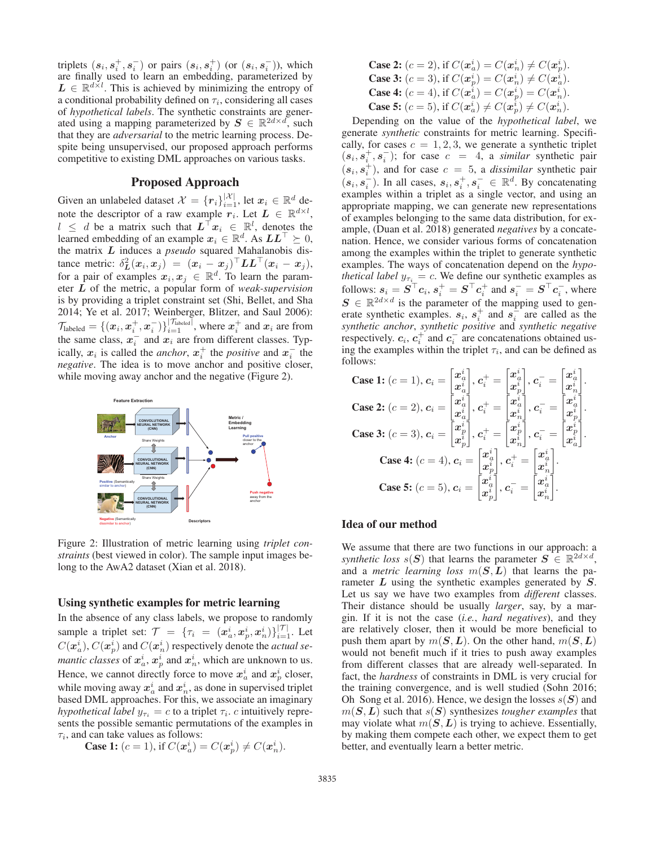triplets  $(s_i, s_i^+, s_i^-)$  or pairs  $(s_i, s_i^+)$  (or  $(s_i, s_i^-)$ ), which<br>are finally used to learn an embedding parameterized by are finally used to learn an embedding, parameterized by  $L \in \mathbb{R}^{d \times l}$ . This is achieved by minimizing the entropy of a conditional probability defined on  $\tau_i$ , considering all cases of *hypothetical labels*. The synthetic constraints are generated using a mapping parameterized by  $S \in \mathbb{R}^{2d \times d}$ , such that they are *adversarial* to the metric learning process. Despite being unsupervised, our proposed approach performs competitive to existing DML approaches on various tasks.

## Proposed Approach

Given an unlabeled dataset  $\mathcal{X} = \{r_i\}_{i=1}^{|\mathcal{X}|}$ , let  $x_i \in \mathbb{R}^d$  denote the descriptor of a raw example  $x_i$ . Let  $L \in \mathbb{R}^{d \times l}$ note the descriptor of a raw example  $r_i$ . Let  $L \in \mathbb{R}^{d \times l}$ ,  $l \leq d$  be a matrix such that  $L^{\top} x_i \in \mathbb{R}^l$ , denotes the learned embedding of an example  $x_i \in \mathbb{R}^d$ . As  $LL^\top \succeq 0$ , the matrix *L* induces a *pseudo* squared Mahalanobis disthe matrix *L* induces a *pseudo* squared Mahalanobis distance metric:  $\delta_L^2(x_i, x_j) = (x_i - x_j)^\top L L^\top (x_i - x_j)$ ,<br>for a pair of examples  $x_i, x_j \in \mathbb{R}^d$ . To learn the param for a pair of examples  $x_i, x_j \in \mathbb{R}^d$ . To learn the parameter *L* of the metric, a popular form of *weak-supervision* is by providing a triplet constraint set (Shi, Bellet, and Sha 2014; Ye et al. 2017; Weinberger, Blitzer, and Saul 2006):  $\mathcal{T}_{\text{labeled}} = \{ (x_i, x_i^+, x_i^-) \}_{i=1}^{|\mathcal{T}_{\text{labeled}}|}$ , where  $x_i^+$  and  $x_i$  are from the same class,  $x_i^-$  and  $x_i$  are from different classes. Typically,  $x_i$  is called the *anchor*,  $x_i^+$  the *positive* and  $x_i^-$  the *negative*. The idea is to move anchor and positive closer, while moving away anchor and the negative (Figure 2).



Figure 2: Illustration of metric learning using *triplet constraints* (best viewed in color). The sample input images belong to the AwA2 dataset (Xian et al. 2018).

## Using synthetic examples for metric learning

In the absence of any class labels, we propose to randomly sample a triplet set:  $\mathcal{T} = {\tau_i = (x_i^i, x_i^i, x_n^i)}\begin{bmatrix}|\mathcal{T}| \ \mathcal{T}(x_i^i) & \mathcal{T}(x_i^i) & \mathcal{T}(x_i^i) \end{bmatrix}$  Let  $C(\mathbf{x}_a^i)$ ,  $C(\mathbf{x}_p^i)$  and  $C(\mathbf{x}_n^i)$  respectively denote the *actual se-*<br>mantic classes of  $\mathbf{x}_a^i$ , and  $\mathbf{x}_a^i$ , which are unknown to us *mantic classes* of  $x_a^i$ ,  $x_a^i$  and  $x_a^i$ , which are unknown to us. Hence, we cannot directly force to move  $x_a^i$  and  $x_a^i$  closer, while moving away  $x_a^i$  and  $x_n^i$ , as done in supervised triplet based DML approaches. For this, we associate an imaginary *hypothetical label*  $y_{\tau_i} = c$  to a triplet  $\tau_i$ . *c* intuitively represents the possible semantic permutations of the examples in  $\tau_i$ , and can take values as follows:

**Case 1:**  $(c = 1)$ , if  $C(\mathbf{x}_a^i) = C(\mathbf{x}_p^i) \neq C(\mathbf{x}_n^i)$ .

**Case 2:** 
$$
(c = 2)
$$
, if  $C(\mathbf{x}_a^i) = C(\mathbf{x}_n^i) \neq C(\mathbf{x}_p^i)$ . **Case 3:**  $(c = 3)$ , if  $C(\mathbf{x}_p^i) = C(\mathbf{x}_n^i) \neq C(\mathbf{x}_a^i)$ . **Case 4:**  $(c = 4)$ , if  $C(\mathbf{x}_a^i) = C(\mathbf{x}_p^i) = C(\mathbf{x}_p^i)$ . **Case 5:**  $(c = 5)$ , if  $C(\mathbf{x}_a^i) \neq C(\mathbf{x}_p^i) \neq C(\mathbf{x}_n^i)$ . Depending on the value of the *hypothetical label*, we

generate *synthetic* constraints for metric learning. Specifically, for cases  $c = 1, 2, 3$ , we generate a synthetic triplet  $(s_i, s_i^+, s_i^-);$  for case  $c = 4$ , a *similar* synthetic pair  $(s_i, s_i^+)$ , and for case  $c = 5$ , a *dissimilar* synthetic pair  $(s_i, s_i^-)$ . In all cases,  $s_i, s_i^+, s_i^- \in \mathbb{R}^d$ . By concatenating examples within a triplet as a single vector and using an examples within a triplet as a single vector, and using an appropriate mapping, we can generate new representations of examples belonging to the same data distribution, for example, (Duan et al. 2018) generated *negatives* by a concatenation. Hence, we consider various forms of concatenation among the examples within the triplet to generate synthetic examples. The ways of concatenation depend on the *hypothetical label*  $y_{\tau_i} = c$ . We define our synthetic examples as  $f_{\text{allow}}(x) = \mathbf{S}^{\top} a_1 \cdot \mathbf{S}^{\top} a_1^{\top}$  and  $\mathbf{S}^{\top} = \mathbf{S}^{\top} a_1^{\top}$  where follows:  $s_i = S^\top c_i$ ,  $s_i^+ = S^\top c_i^+$  and  $s_i^- = S^\top c_i^-$ , where  $S \in \mathbb{R}^{2d \times d}$  is the parameter of the mapping used to gen  $S \in \mathbb{R}^{2d \times d}$  is the parameter of the mapping used to generate synthetic examples.  $s_i$ ,  $s_i^+$  and  $s_i^-$  are called as the *synthetic anchor*, *synthetic positive* and *synthetic negative* respectively.  $c_i$ ,  $c_i^+$  and  $c_i^-$  are concatenations obtained using the examples within the triplet  $\tau_i$ , and can be defined as follows:

Case 1: 
$$
(c = 1)
$$
,  $\mathbf{c}_i = \begin{bmatrix} x_i^i \\ x_i^i \end{bmatrix}$ ,  $\mathbf{c}_i^+ = \begin{bmatrix} x_i^i \\ x_i^i \end{bmatrix}$ ,  $\mathbf{c}_i^- = \begin{bmatrix} x_i^i \\ x_i^i \end{bmatrix}$ .  
\nCase 2:  $(c = 2)$ ,  $\mathbf{c}_i = \begin{bmatrix} x_i^i \\ x_i^i \end{bmatrix}$ ,  $\mathbf{c}_i^+ = \begin{bmatrix} x_i^i \\ x_i^i \end{bmatrix}$ ,  $\mathbf{c}_i^- = \begin{bmatrix} x_i^i \\ x_i^i \end{bmatrix}$ .  
\nCase 3:  $(c = 3)$ ,  $\mathbf{c}_i = \begin{bmatrix} x_i^i \\ x_i^i \end{bmatrix}$ ,  $\mathbf{c}_i^+ = \begin{bmatrix} x_i^i \\ x_i^i \end{bmatrix}$ ,  $\mathbf{c}_i^- = \begin{bmatrix} x_i^i \\ x_i^i \end{bmatrix}$ .  
\nCase 4:  $(c = 4)$ ,  $\mathbf{c}_i = \begin{bmatrix} x_i^i \\ x_i^i \end{bmatrix}$ ,  $\mathbf{c}_i^+ = \begin{bmatrix} x_i^i \\ x_i^i \end{bmatrix}$ .  
\nCase 5:  $(c = 5)$ ,  $\mathbf{c}_i = \begin{bmatrix} x_i^i \\ x_i^i \end{bmatrix}$ ,  $\mathbf{c}_i^- = \begin{bmatrix} x_i^i \\ x_i^i \end{bmatrix}$ .

#### Idea of our method

We assume that there are two functions in our approach: a *synthetic loss*  $s(S)$  that learns the parameter  $S \in \mathbb{R}^{2d \times d}$ , and a *metric learning loss*  $m(S, L)$  that learns the parameter *L* using the synthetic examples generated by *S*. Let us say we have two examples from *different* classes. Their distance should be usually *larger*, say, by a margin. If it is not the case (*i.e.*, *hard negatives*), and they are relatively closer, then it would be more beneficial to push them apart by  $m(S, L)$ . On the other hand,  $m(S, L)$ would not benefit much if it tries to push away examples from different classes that are already well-separated. In fact, the *hardness* of constraints in DML is very crucial for the training convergence, and is well studied (Sohn 2016; Oh Song et al. 2016). Hence, we design the losses <sup>s</sup>(*S*) and  $m(S, L)$  such that  $s(S)$  synthesizes *tougher examples* that may violate what  $m(S, L)$  is trying to achieve. Essentially, by making them compete each other, we expect them to get better, and eventually learn a better metric.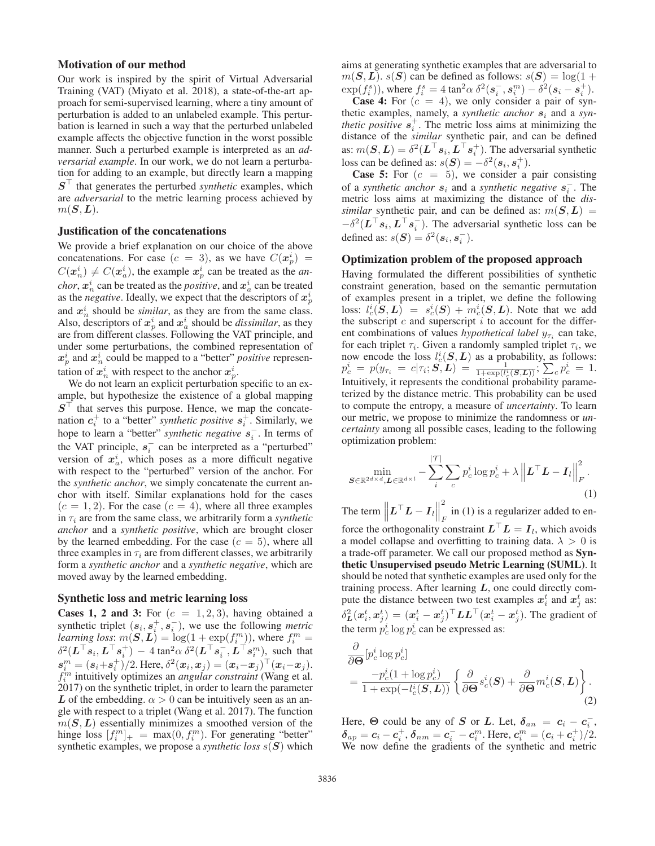#### Motivation of our method

Our work is inspired by the spirit of Virtual Adversarial Training (VAT) (Miyato et al. 2018), a state-of-the-art approach for semi-supervised learning, where a tiny amount of perturbation is added to an unlabeled example. This perturbation is learned in such a way that the perturbed unlabeled example affects the objective function in the worst possible manner. Such a perturbed example is interpreted as an *adversarial example*. In our work, we do not learn a perturbation for adding to an example, but directly learn a mapping *S*- that generates the perturbed *synthetic* examples, which are *adversarial* to the metric learning process achieved by  $m(S, L)$ .

#### Justification of the concatenations

We provide a brief explanation on our choice of the above concatenations. For case  $(c = 3)$ , as we have  $C(\mathbf{x}_p^i) = C(\mathbf{x}^i) + C(\mathbf{x}^i)$ , the example  $\mathbf{x}^i$  are has tracted as the symposition  $C(\mathbf{x}_n^i) \neq C(\mathbf{x}_a^i)$ , the example  $\mathbf{x}_p^i$  can be treated as the *an-*<br>class  $\mathbf{x}_p^i$  can be treated as the positive and  $\mathbf{x}_p^i$  can be treated *chor*,  $x_n^i$  can be treated as the *positive*, and  $x_a^i$  can be treated as the *negative*. Ideally, we expect that the descriptors of  $x^i_p$ and  $x_n^i$  should be *similar*, as they are from the same class. Also, descriptors of  $x_i^i$  and  $x_a^i$  should be *dissimilar*, as they are from different classes. Following the VAT principle, and under some perturbations, the combined representation of  $x_p^i$  and  $x_n^i$  could be mapped to a "better" *positive* representation of  $x_n^i$  with respect to the anchor  $x_n^i$ .

We do not learn an explicit perturbation specific to an example, but hypothesize the existence of a global mapping  $S<sup>+</sup>$  that serves this purpose. Hence, we map the concatenation  $c_i^+$  to a "better" *synthetic positive*  $s_i^+$ . Similarly, we hope to learn a "better" *synthetic negative*  $s_i^-$ . In terms of the VAT principle,  $s_i^-$  can be interpreted as a "perturbed" version of  $x_a^i$ , which poses as a more difficult negative with respect to the "perturbed" version of the anchor. For the *synthetic anchor*, we simply concatenate the current anchor with itself. Similar explanations hold for the cases  $(c = 1, 2)$ . For the case  $(c = 4)$ , where all three examples in  $\tau_i$  are from the same class, we arbitrarily form a *synthetic anchor* and a *synthetic positive*, which are brought closer by the learned embedding. For the case  $(c = 5)$ , where all three examples in  $\tau_i$  are from different classes, we arbitrarily form a *synthetic anchor* and a *synthetic negative*, which are moved away by the learned embedding.

#### Synthetic loss and metric learning loss

**Cases 1, 2 and 3:** For  $(c = 1, 2, 3)$ , having obtained a synthetic triplet  $(s_i, s_i^+, s_i^-)$ , we use the following *metric*<br>*learning loss:*  $m(S, L) = \log(1 + \exp(f_m))$  where  $f_m^m =$ *learning loss:*  $m(S, L) = \log(1 + \exp(f_i^m))$ , where  $f_i^m =$ <br> $S^2(L^T e, L^T e^+)$   $A \tan^2 \alpha S^2(L^T e^+ L^T e^m)$  such that  $\delta^2(L^\top s_i, L^\top s_i^+) - 4 \tan^2 \alpha \, \delta^2(L^\top s_i^-, L^\top s_i^m)$ , such that  $s^m - (s + s^+) \cdot 2$  Here  $\delta^2(x, x_i) - (x - x_i)^\top (x - x_i)$  $s_i^m = (s_i + s_i^+)/2$ . Here,  $\delta^2(x_i, x_j) = (x_i - x_j)^T(x_i - x_j)$ .<br> *f<sup>m</sup>* intuitively optimizes an *appular constraint* (Wang et al.  $f_i^m$  intuitively optimizes an *angular constraint* (Wang et al. 2017) on the synthetic triplet, in order to learn the parameter *L* of the embedding.  $\alpha > 0$  can be intuitively seen as an angle with respect to a triplet (Wang et al. 2017). The function  $m(S, L)$  essentially minimizes a smoothed version of the hinge loss  $[f_i^m]_+ = \max(0, f_i^m)$ . For generating "better" synthetic examples we propose a *synthetic loss s(S)* which synthetic examples, we propose a *synthetic loss* <sup>s</sup>(*S*) which

aims at generating synthetic examples that are adversarial to  $m(S, L)$ .  $s(S)$  can be defined as follows:  $s(S) = \log(1 +$  $\exp(f_i^s)$ , where  $f_i^s = 4 \tan^2 \alpha \delta^2 (\mathbf{s}_i - \mathbf{s}_i - \delta^2 (\mathbf{s}_i - \mathbf{s}_i + \mathbf{s}_i))$ .<br>Case 4: For  $(c = 4)$  we only consider a pair of syn-

**Case 4:** For  $(c = 4)$ , we only consider a pair of synthetic examples, namely, a *synthetic anchor s*<sup>i</sup> and a *synthetic positive*  $s_i^+$ . The metric loss aims at minimizing the distance of the *similar* synthetic pair, and can be defined as:  $m(S, L) = \delta^2(L^{\top} s_i, L^{\top} s_i^+)$ . The adversarial synthetic loss can be defined as:  $e(S) = -\delta^2(e, e^+)$ loss can be defined as:  $s(S) = -\delta^2(s_i, s_i^+)$ .<br>Case 5: For  $(c = 5)$  we consider a

**Case 5:** For  $(c = 5)$ , we consider a pair consisting of a *synthetic anchor*  $s_i$  and a *synthetic negative*  $s_i^-$ . The metric loss aims at maximizing the distance of the *dissimilar* synthetic pair, and can be defined as:  $m(S, L)$  =  $-\delta^2(L^{\top} s_i, L^{\top} s_i^{-})$ . The adversarial synthetic loss can be defined as:  $s(S) - \delta^2(s, s^{-})$ defined as:  $s(S) = \delta^2(s_i, s_i^-)$ .

## Optimization problem of the proposed approach

Having formulated the different possibilities of synthetic constraint generation, based on the semantic permutation of examples present in a triplet, we define the following loss:  $l_c^i(\mathbf{S}, L) = s_c^i(\mathbf{S}) + m_c^i(\mathbf{S}, L)$ . Note that we add<br>the subscript c and superscript *i* to account for the differthe subscript  $c$  and superscript  $i$  to account for the different combinations of values *hypothetical label*  $y_{\tau_i}$  can take, for each triplet  $\tau_i$ . Given a randomly sampled triplet  $\tau_i$ , we now encode the loss  $l_e^i(\mathbf{S}, \mathbf{L})$  as a probability, as follows:<br>  $p_e^i = p(y_{\tau_i} = c | \tau_i; \mathbf{S}, \mathbf{L}) = \frac{1}{1 + \exp(l_e^i(\mathbf{S}, \mathbf{L}))}; \sum_c p_e^i = 1.$ <br>
Intuitively, it represents the condition mobability persons Intuitively, it represents the conditional probability parameterized by the distance metric. This probability can be used to compute the entropy, a measure of *uncertainty*. To learn our metric, we propose to minimize the randomness or *uncertainty* among all possible cases, leading to the following optimization problem:

$$
\min_{\boldsymbol{S} \in \mathbb{R}^{2d \times d}, \boldsymbol{L} \in \mathbb{R}^{d \times l}} - \sum_{i}^{|\mathcal{T}|} \sum_{c} p_c^i \log p_c^i + \lambda \left\| \boldsymbol{L}^\top \boldsymbol{L} - \boldsymbol{I}_l \right\|_F^2.
$$
\n(1)

The term  $\left\| \boldsymbol{L}^\top \boldsymbol{L} - \boldsymbol{I}_l \right\|$ in (1) is a regularizer added to enforce the orthogonality constraint  $L^{\perp}L = I_l$ , which avoids<br>a model collanse and overfitting to training data  $\lambda > 0$  is a model collapse and overfitting to training data.  $\lambda > 0$  is a trade-off parameter. We call our proposed method as Synthetic Unsupervised pseudo Metric Learning (SUML). It should be noted that synthetic examples are used only for the training process. After learning *L*, one could directly compute the distance between two test examples  $x_i^t$  and  $x_i^t$  as:  $\delta_L^2(x_i^t, x_j^t) = (x_i^t - x_j^t)^\top L L^\top (x_i^t - x_j^t)$ . The gradient of the term  $p_c^i \log p_c^i$  can be expressed as:

$$
\frac{\partial}{\partial \mathbf{\Theta}} [p_c^i \log p_c^i] \n= \frac{-p_c^i (1 + \log p_c^i)}{1 + \exp(-l_c^i(\mathbf{S}, \mathbf{L}))} \left\{ \frac{\partial}{\partial \mathbf{\Theta}} s_c^i(\mathbf{S}) + \frac{\partial}{\partial \mathbf{\Theta}} m_c^i(\mathbf{S}, \mathbf{L}) \right\}.
$$
\n(2)

Here,  $\Theta$  could be any of *S* or *L*. Let,  $\delta_{an} = c_i - c_i^-,$ <br>  $\delta_{n} = c_i - c_i^+$   $\delta_{n} = c_i^- - c_i^m$  Here  $c_i^m = (c_i + c_i^+)/2$  $\delta_{ap} = c_i - c_i^+$ ,  $\delta_{nm} = c_i^- - c_i^m$ . Here,  $c_i^m = (c_i + c_i^+)/2$ .<br>We now define the gradients of the synthetic and metric We now define the gradients of the synthetic and metric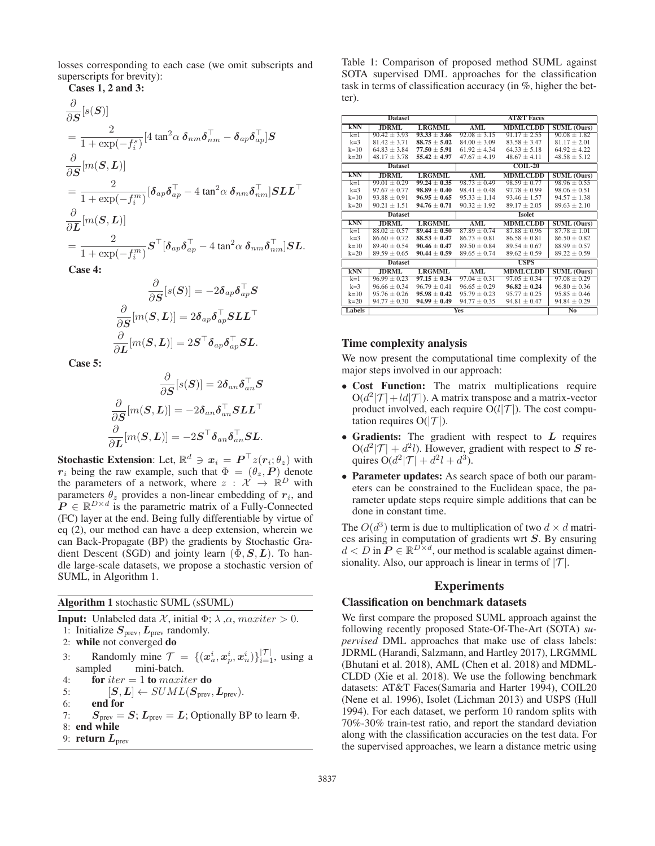losses corresponding to each case (we omit subscripts and superscripts for brevity):

Cases 1, 2 and 3:

$$
\frac{\partial}{\partial S}[s(S)]
$$
\n
$$
= \frac{2}{1 + \exp(-f_i^s)} [4 \tan^2 \alpha \delta_{nm} \delta_{nm}^\top - \delta_{ap} \delta_{ap}^\top] S
$$
\n
$$
\frac{\partial}{\partial S}[m(S, L)]
$$
\n
$$
= \frac{2}{1 + \exp(-f_i^m)} [\delta_{ap} \delta_{ap}^\top - 4 \tan^2 \alpha \delta_{nm} \delta_{nm}^\top] S L L^\top
$$
\n
$$
\frac{\partial}{\partial L}[m(S, L)]
$$
\n
$$
= \frac{2}{1 + \exp(-f_i^m)} S^\top [\delta_{ap} \delta_{ap}^\top - 4 \tan^2 \alpha \delta_{nm} \delta_{nm}^\top] S L.
$$
\nCase 4:

Case 4:

$$
\frac{\partial}{\partial \boldsymbol{S}}[s(\boldsymbol{S})]= -2\boldsymbol{\delta}_{ap}\boldsymbol{\delta}_{ap}^\top\boldsymbol{S}\\ \frac{\partial}{\partial \boldsymbol{S}}[m(\boldsymbol{S},\boldsymbol{L})]= 2\boldsymbol{\delta}_{ap}\boldsymbol{\delta}_{ap}^\top\boldsymbol{S}\boldsymbol{L}\boldsymbol{L}^\top\\ \frac{\partial}{\partial \boldsymbol{L}}[m(\boldsymbol{S},\boldsymbol{L})]= 2\boldsymbol{S}^\top\boldsymbol{\delta}_{ap}\boldsymbol{\delta}_{ap}^\top\boldsymbol{S}\boldsymbol{L}.
$$

Case 5:

$$
\frac{\partial}{\partial S}[s(S)] = 2\delta_{an}\delta_{an}^{\top}S
$$

$$
\frac{\partial}{\partial S}[m(S, L)] = -2\delta_{an}\delta_{an}^{\top}SLL^{\top}
$$

$$
\frac{\partial}{\partial L}[m(S, L)] = -2S^{\top}\delta_{an}\delta_{an}^{\top}SL.
$$

∂

**Stochastic Extension:** Let,  $\mathbb{R}^d \ni x_i = P^{\top} z(r_i; \theta_z)$  with  $r_i$  being the raw example, such that  $\Phi = (\theta_i, P)$  denote *r*<sub>i</sub> being the raw example, such that  $\Phi=(\theta_z, P)$  denote the parameters of a network, where  $z : \mathcal{X} \to \mathbb{R}^D$  with parameters  $\theta_z$  provides a non-linear embedding of  $r_i$ , and  $\mathbf{P} \in \mathbb{R}^{D \times d}$  is the parametric matrix of a Fully-Connected (FC) layer at the end. Being fully differentiable by virtue of eq (2), our method can have a deep extension, wherein we can Back-Propagate (BP) the gradients by Stochastic Gradient Descent (SGD) and jointy learn (Φ,*S*, *<sup>L</sup>*). To handle large-scale datasets, we propose a stochastic version of SUML, in Algorithm 1.

Algorithm 1 stochastic SUML (sSUML)

**Input:** Unlabeled data  $\mathcal{X}$ , initial  $\Phi$ ;  $\lambda$ ,  $\alpha$ , maxiter  $> 0$ . 1: Initialize  $S_{\text{prev}}, L_{\text{prev}}$  randomly. 2: while not converged do

- 3: Randomly mine  $\mathcal{T} = \{(\mathbf{x}_a^i, \mathbf{x}_p^i, \mathbf{x}_n^i)\}_{i=1}^{|\mathcal{T}|}$ , using a sampled mini-batch sampled mini-batch.
- 4: **for**  $iter = 1$  to maxiter **do**<br>5:  $[S, L] \leftarrow SUML(S_{prev})$
- 5:  $[S, L] \leftarrow SUML(S_{prev}, L_{prev}).$ <br>6: **end for**
- end for
- 7:  $S_{\text{prev}} = S$ ;  $L_{\text{prev}} = L$ ; Optionally BP to learn  $\Phi$ .
- 8: end while
- 9: **return**  $L_{\text{prev}}$

Table 1: Comparison of proposed method SUML against SOTA supervised DML approaches for the classification task in terms of classification accuracy (in %, higher the better).

|                                             | <b>Dataset</b>   |                  | <b>AT&amp;T Faces</b> |                  |                                 |  |  |
|---------------------------------------------|------------------|------------------|-----------------------|------------------|---------------------------------|--|--|
| <b>KNN</b>                                  | <b>JDRML</b>     | <b>LRGMML</b>    | AML                   | <b>MDMLCLDD</b>  | <b>SUML</b> (Ours)              |  |  |
| $k=1$                                       | $90.42 \pm 3.93$ | $93.33 \pm 3.66$ | $92.08 \pm 3.15$      | $91.17 \pm 2.55$ | $90.08 \pm 1.82$                |  |  |
| $k=3$                                       | $81.42 + 3.71$   | $88.75 \pm 5.02$ | $84.00 \pm 3.09$      | $83.58 + 3.47$   | $81.17 \pm 2.01$                |  |  |
| $k=10$                                      | $64.83 + 3.84$   | $77.50 + 5.91$   | $61.92 + 4.34$        | $64.33 + 5.18$   | $64.92 + 4.22$                  |  |  |
| $k=20$                                      | $48.17 \pm 3.78$ | $55.42 \pm 4.97$ | $47.67 \pm 4.19$      | $48.67 + 4.11$   | $48.58 \pm 5.12$                |  |  |
|                                             | <b>Dataset</b>   |                  |                       | $COLL-20$        |                                 |  |  |
| <b>kNN</b><br><b>JDRML</b><br><b>LRGMML</b> |                  |                  | AML                   | <b>MDMLCLDD</b>  | <b>SUML</b> (Ours)              |  |  |
| $k=1$                                       | $99.01 + 0.29$   | $99.24 + 0.35$   | $98.73 + 0.49$        | $98.59 + 0.77$   | $98.96 \pm 0.55$                |  |  |
| $k=3$                                       | $97.67 + 0.77$   | $98.89 + 0.40$   | $98.41 \pm 0.48$      | $97.78 \pm 0.99$ | $98.06 \pm 0.51$                |  |  |
| $k=10$                                      | $93.88 \pm 0.91$ | $96.95 + 0.65$   | $95.33 \pm 1.14$      | $93.46 \pm 1.57$ | $94.57 + 1.38$                  |  |  |
| $k=20$                                      | $90.21 \pm 1.51$ | $94.76 \pm 0.71$ | $90.32 \pm 1.92$      | $89.17 \pm 2.05$ | $89.63 \pm 2.10$                |  |  |
|                                             | <b>Dataset</b>   |                  | <b>Isolet</b>         |                  |                                 |  |  |
| <b>kNN</b>                                  | <b>JDRML</b>     | <b>LRGMML</b>    | AML                   | <b>MDMLCLDD</b>  | $\overline{\text{SUML}}$ (Ours) |  |  |
| $k=1$                                       | $88.02 \pm 0.57$ | $89.44 + 0.50$   | $87.89 + 0.74$        | $87.88 + 0.96$   | $87.78 \pm 1.01$                |  |  |
| $k=3$                                       | $86.60 + 0.72$   | $88.53 \pm 0.47$ | $86.73 \pm 0.81$      | $86.58 + 0.81$   | $86.50 \pm 0.82$                |  |  |
| $k=10$                                      | $89.40 + 0.54$   | $90.46 + 0.47$   | $89.50 \pm 0.84$      | $89.54 + 0.67$   | $88.99 \pm 0.57$                |  |  |
| $k=20$                                      | $89.59 + 0.65$   | $90.44 + 0.59$   | $89.65 \pm 0.74$      | $89.62 + 0.59$   | $89.22 \pm 0.59$                |  |  |
|                                             | <b>Dataset</b>   |                  | <b>USPS</b>           |                  |                                 |  |  |
| <b>kNN</b>                                  | <b>JDRML</b>     | <b>LRGMML</b>    | AML                   | <b>MDMLCLDD</b>  | <b>SUML</b> (Ours)              |  |  |
| $k=1$                                       | $96.99 + 0.23$   | $97.15 \pm 0.34$ | $97.04 + 0.31$        | $97.05 \pm 0.34$ | $97.08 \pm 0.29$                |  |  |
| $k=3$                                       | $96.66 + 0.34$   | $96.79 + 0.41$   | $96.65 + 0.29$        | $96.82 + 0.24$   | $96.80 \pm 0.36$                |  |  |
| $k=10$                                      | $95.76 \pm 0.26$ | $95.98 \pm 0.42$ | $95.79 \pm 0.23$      | $95.77 \pm 0.25$ | $95.85 \pm 0.46$                |  |  |
| $k=20$                                      | $94.77 \pm 0.30$ | $94.99 + 0.49$   | $94.77 \pm 0.35$      | $94.81 \pm 0.47$ | $94.84 \pm 0.29$                |  |  |
| Labels                                      |                  |                  | Yes                   |                  | No                              |  |  |

#### Time complexity analysis

We now present the computational time complexity of the major steps involved in our approach:

- Cost Function: The matrix multiplications require  $O(d^2|\mathcal{T}|+ld|\mathcal{T}|)$ . A matrix transpose and a matrix-vector product involved, each require  $O(l|\mathcal{T}|)$ . The cost computation requires  $O(|\mathcal{T}|)$ .
- Gradients: The gradient with respect to *L* requires  $O(d^2|\mathcal{T}| + d^2l)$ . However, gradient with respect to *S* requires  $O(d^2|\mathcal{T}| + d^2l + d^3)$ .
- Parameter updates: As search space of both our parameters can be constrained to the Euclidean space, the parameter update steps require simple additions that can be done in constant time.

The  $O(d^3)$  term is due to multiplication of two  $d \times d$  matrices arising in computation of gradients wrt *S*. By ensuring  $d < D$  in  $P \in \mathbb{R}^{D \times d}$ , our method is scalable against dimensionality. Also, our approach is linear in terms of  $|\mathcal{T}|$ .

## Experiments

#### Classification on benchmark datasets

We first compare the proposed SUML approach against the following recently proposed State-Of-The-Art (SOTA) *supervised* DML approaches that make use of class labels: JDRML (Harandi, Salzmann, and Hartley 2017), LRGMML (Bhutani et al. 2018), AML (Chen et al. 2018) and MDML-CLDD (Xie et al. 2018). We use the following benchmark datasets: AT&T Faces(Samaria and Harter 1994), COIL20 (Nene et al. 1996), Isolet (Lichman 2013) and USPS (Hull 1994). For each dataset, we perform 10 random splits with 70%-30% train-test ratio, and report the standard deviation along with the classification accuracies on the test data. For the supervised approaches, we learn a distance metric using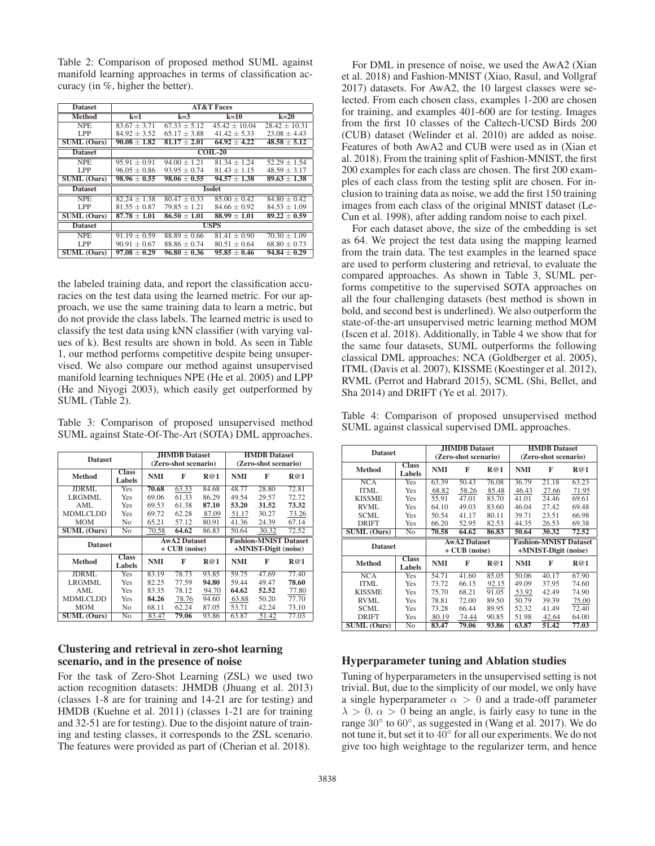Table 2: Comparison of proposed method SUML against manifold learning approaches in terms of classification accuracy (in %, higher the better).

| <b>Dataset</b>     | <b>AT&amp;T Faces</b> |                  |                  |                   |  |  |  |  |
|--------------------|-----------------------|------------------|------------------|-------------------|--|--|--|--|
| <b>Method</b>      | $k=1$                 | $k=3$            | $k=10$           | $k=20$            |  |  |  |  |
| <b>NPE</b>         | $83.67 + 3.71$        | $67.33 + 5.12$   | $45.42 + 10.04$  | $28.42 \pm 10.31$ |  |  |  |  |
| LPP                | $84.92 \pm 3.52$      | $65.17 \pm 3.88$ | $41.42 \pm 5.33$ | $23.08 \pm 4.43$  |  |  |  |  |
| <b>SUML (Ours)</b> | $90.08 \pm 1.82$      | $81.17 \pm 2.01$ | $64.92 \pm 4.22$ | $48.58 \pm 5.12$  |  |  |  |  |
| <b>Dataset</b>     |                       |                  | $COLL-20$        |                   |  |  |  |  |
| <b>NPE</b>         | $95.91 \pm 0.91$      | $94.00 + 1.21$   | $81.34 + 1.24$   | $52.29 + 1.54$    |  |  |  |  |
| LPP                | $96.05 \pm 0.86$      | $93.95 \pm 0.74$ | $81.43 + 1.15$   | $48.59 \pm 3.17$  |  |  |  |  |
| <b>SUML</b> (Ours) | $98.96 \pm 0.55$      | $98.06 \pm 0.55$ | $94.57 \pm 1.38$ | $89.63 \pm 1.38$  |  |  |  |  |
| <b>Dataset</b>     | <b>Isolet</b>         |                  |                  |                   |  |  |  |  |
| <b>NPE</b>         | $82.24 + 1.38$        | $80.47 + 0.33$   | $85.00 \pm 0.42$ | $84.80 + 0.42$    |  |  |  |  |
| LPP                | $81.55 \pm 0.87$      | $79.85 \pm 1.21$ | $84.66 \pm 0.92$ | $84.53 \pm 1.09$  |  |  |  |  |
| <b>SUML (Ours)</b> | $87.78 \pm 1.01$      | $86.50 + 1.01$   | $88.99 + 1.01$   | $89.22 \pm 0.59$  |  |  |  |  |
| <b>Dataset</b>     |                       |                  | <b>USPS</b>      |                   |  |  |  |  |
| <b>NPE</b>         | $91.19 + 0.59$        | $88.89 + 0.66$   | $81.41 + 0.90$   | $70.30 \pm 1.09$  |  |  |  |  |
| LPP                | $90.91 \pm 0.67$      | $88.86 \pm 0.74$ | $80.51 \pm 0.64$ | $68.80 \pm 0.73$  |  |  |  |  |
| <b>SUML</b> (Ours) | $97.08 \pm 0.29$      | $96.80 \pm 0.36$ | $95.85 \pm 0.46$ | $94.84 \pm 0.29$  |  |  |  |  |

the labeled training data, and report the classification accuracies on the test data using the learned metric. For our approach, we use the same training data to learn a metric, but do not provide the class labels. The learned metric is used to classify the test data using kNN classifier (with varying values of k). Best results are shown in bold. As seen in Table 1, our method performs competitive despite being unsupervised. We also compare our method against unsupervised manifold learning techniques NPE (He et al. 2005) and LPP (He and Niyogi 2003), which easily get outperformed by SUML (Table 2).

Table 3: Comparison of proposed unsupervised method SUML against State-Of-The-Art (SOTA) DML approaches.

|                    |                        | <b>JHMDB</b> Dataset |                     | <b>HMDB</b> Dataset  |            |                      |                              |
|--------------------|------------------------|----------------------|---------------------|----------------------|------------|----------------------|------------------------------|
| <b>Dataset</b>     | (Zero-shot scenario)   |                      |                     | (Zero-shot scenario) |            |                      |                              |
| Method             | <b>Class</b><br>Labels | <b>NMI</b>           | F                   | R@1                  | <b>NMI</b> | F                    | R@1                          |
| JDRML              | Yes                    | 70.68                | 63.33               | 84.68                | 48.77      | 28.80                | 72.81                        |
| LRGMML.            | Yes                    | 69.06                | 61.33               | 86.29                | 49.54      | 29.57                | 72.72                        |
| AML                | Yes                    | 69.53                | 61.38               | 87.10                | 53.20      | 31.52                | 73.32                        |
| MDMLCLDD           | Yes                    | 69.72                | 62.28               | 87.09                | 51.17      | 30.27                | 73.26                        |
| <b>MOM</b>         | No                     | 65.21                | 57.12               | 80.91                | 41.36      | 24.39                | 67.14                        |
| <b>SUML</b> (Ours) | N <sub>0</sub>         | 70.58                | 64.62               | 86.83                | 50.64      | 30.32                | 72.52                        |
|                    |                        |                      |                     |                      |            |                      |                              |
|                    |                        |                      | <b>AwA2 Dataset</b> |                      |            |                      | <b>Fashion-MNIST Dataset</b> |
| <b>Dataset</b>     |                        |                      | + CUB (noise)       |                      |            | +MNIST-Digit (noise) |                              |
| <b>Method</b>      | <b>Class</b><br>Labels | <b>NMI</b>           | F                   | R@1                  | <b>NMI</b> | F                    | R@1                          |
| <b>JDRML</b>       | Yes                    | 83.19                | 78.73               | 93.85                | 59.75      | 47.69                | 77.40                        |
| LRGMML.            | Yes                    | 82.25                | 77.59               | 94.80                | 59.44      | 49.47                | 78.60                        |
| AML                | Yes                    | 83.35                | 78.12               | 94.70                | 64.62      | 52.52                | 77.80                        |
| MDMLCLDD           | Yes                    | 84.26                | 78.76               | 94.60                | 63.88      | 50.20                | 77.70                        |
| <b>MOM</b>         | No                     | 68.11                | 62.24               | 87.05                | 53.71      | 42.24                | 73.10                        |

## Clustering and retrieval in zero-shot learning scenario, and in the presence of noise

For the task of Zero-Shot Learning (ZSL) we used two action recognition datasets: JHMDB (Jhuang et al. 2013) (classes 1-8 are for training and 14-21 are for testing) and HMDB (Kuehne et al. 2011) (classes 1-21 are for training and 32-51 are for testing). Due to the disjoint nature of training and testing classes, it corresponds to the ZSL scenario. The features were provided as part of (Cherian et al. 2018).

For DML in presence of noise, we used the AwA2 (Xian et al. 2018) and Fashion-MNIST (Xiao, Rasul, and Vollgraf 2017) datasets. For AwA2, the 10 largest classes were selected. From each chosen class, examples 1-200 are chosen for training, and examples 401-600 are for testing. Images from the first 10 classes of the Caltech-UCSD Birds 200 (CUB) dataset (Welinder et al. 2010) are added as noise. Features of both AwA2 and CUB were used as in (Xian et al. 2018). From the training split of Fashion-MNIST, the first 200 examples for each class are chosen. The first 200 examples of each class from the testing split are chosen. For inclusion to training data as noise, we add the first 150 training images from each class of the original MNIST dataset (Le-Cun et al. 1998), after adding random noise to each pixel.

For each dataset above, the size of the embedding is set as 64. We project the test data using the mapping learned from the train data. The test examples in the learned space are used to perform clustering and retrieval, to evaluate the compared approaches. As shown in Table 3, SUML performs competitive to the supervised SOTA approaches on all the four challenging datasets (best method is shown in bold, and second best is underlined). We also outperform the state-of-the-art unsupervised metric learning method MOM (Iscen et al. 2018). Additionally, in Table 4 we show that for the same four datasets, SUML outperforms the following classical DML approaches: NCA (Goldberger et al. 2005), ITML (Davis et al. 2007), KISSME (Koestinger et al. 2012), RVML (Perrot and Habrard 2015), SCML (Shi, Bellet, and Sha 2014) and DRIFT (Ye et al. 2017).

Table 4: Comparison of proposed unsupervised method SUML against classical supervised DML approaches.

|                                         |                        |                                                     | <b>JHMDB</b> Dataset |       | <b>HMDB</b> Dataset  |                      |       |  |  |
|-----------------------------------------|------------------------|-----------------------------------------------------|----------------------|-------|----------------------|----------------------|-------|--|--|
|                                         | <b>Dataset</b>         |                                                     |                      |       | (Zero-shot scenario) |                      |       |  |  |
|                                         |                        | (Zero-shot scenario)                                |                      |       |                      |                      |       |  |  |
| <b>Method</b>                           | <b>Class</b><br>Labels | <b>NMI</b>                                          | F                    | R@1   | <b>NMI</b>           | F                    | R@1   |  |  |
| NCA                                     | Yes                    | 63.39                                               | 50.43                | 76.08 | 36.79                | 21.18                | 63.23 |  |  |
| <b>ITML</b>                             | Yes                    | 68.82                                               | 58.26                | 85.48 | 46.43                | 27.66                | 71.95 |  |  |
| <b>KISSME</b>                           | Yes                    | 55.91                                               | 47.01                | 83.70 | 41.01                | 24.46                | 69.61 |  |  |
| RVML                                    | Yes                    | 64.10                                               | 49.03                | 83.60 | 46.04                | 27.42                | 69.48 |  |  |
| <b>SCML</b>                             | Yes                    | 50.54                                               | 41.17                | 80.11 | 39.71                | 23.51                | 66.98 |  |  |
| <b>DRIFT</b>                            | Yes                    | 66.20                                               | 52.95                | 82.53 | 44.35                | 26.53                | 69.38 |  |  |
| <b>SUML (Ours)</b>                      | No                     | 70.58                                               | 64.62                | 86.83 | 50.64                | 30.32                | 72.52 |  |  |
| <b>Dataset</b>                          |                        | <b>AwA2 Dataset</b><br><b>Fashion-MNIST Dataset</b> |                      |       |                      |                      |       |  |  |
|                                         |                        |                                                     | $+$ CUB (noise)      |       |                      | +MNIST-Digit (noise) |       |  |  |
| <b>Class</b><br><b>Method</b><br>Labels |                        | <b>NMI</b>                                          | F                    | R@1   | <b>NMI</b>           | F                    | R@1   |  |  |
| <b>NCA</b>                              | Yes                    | 54.71                                               | 41.60                | 85.05 | 50.06                | 40.17                | 67.90 |  |  |
| ITML                                    | Yes                    | 73.72                                               | 66.15                | 92.15 | 49.09                | 37.95                | 74.60 |  |  |
| <b>KISSME</b>                           | Yes                    | 75.70                                               | 68.21                | 91.05 | 53.92                | 42.49                | 74.90 |  |  |
| RVML                                    | Yes                    | 78.81                                               | 72.00                | 89.50 | 50.79                | 39.39                | 75.00 |  |  |
| <b>SCML</b>                             | Yes                    | 73.28                                               | 66.44                | 89.95 | 52.32                | 41.49                | 72.40 |  |  |
| <b>DRIFT</b>                            | Yes                    | 80.19                                               | 74.44                | 90.85 | 51.98                | 42.64                | 64.00 |  |  |
| <b>SUML</b> (Ours)                      | No                     | 83.47                                               | 79.06                | 93.86 | 63.87                | 51.42                | 77.03 |  |  |

## Hyperparameter tuning and Ablation studies

Tuning of hyperparameters in the unsupervised setting is not trivial. But, due to the simplicity of our model, we only have a single hyperparameter  $\alpha > 0$  and a trade-off parameter  $\lambda > 0$ .  $\alpha > 0$  being an angle, is fairly easy to tune in the range 30◦ to <sup>60</sup>◦, as suggested in (Wang et al. 2017). We do not tune it, but set it to <sup>40</sup>◦ for all our experiments. We do not give too high weightage to the regularizer term, and hence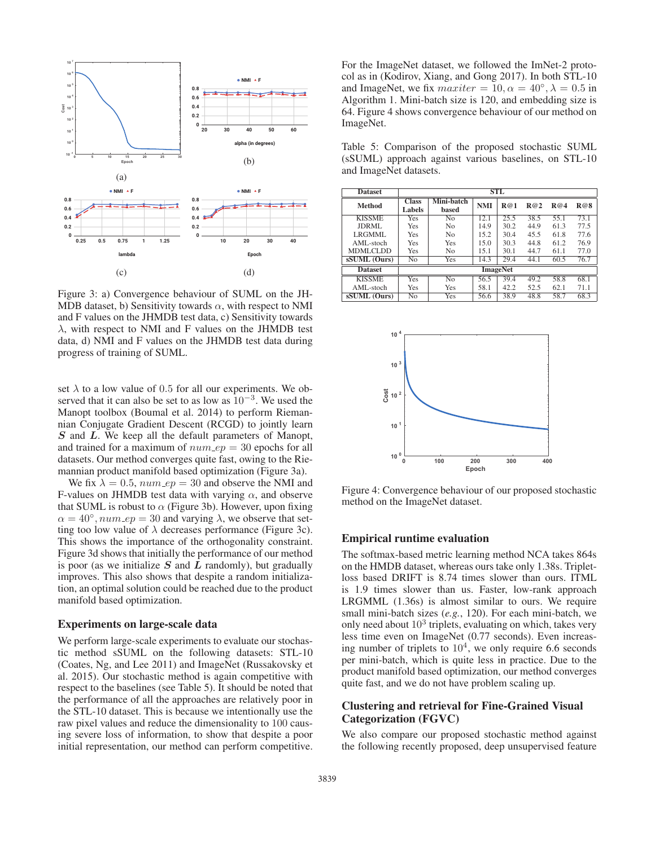

Figure 3: a) Convergence behaviour of SUML on the JH-MDB dataset, b) Sensitivity towards  $\alpha$ , with respect to NMI and F values on the JHMDB test data, c) Sensitivity towards  $\lambda$ , with respect to NMI and F values on the JHMDB test data, d) NMI and F values on the JHMDB test data during progress of training of SUML.

set  $\lambda$  to a low value of 0.5 for all our experiments. We observed that it can also be set to as low as  $10^{-3}$ . We used the Manopt toolbox (Boumal et al. 2014) to perform Riemannian Conjugate Gradient Descent (RCGD) to jointly learn *S* and *L*. We keep all the default parameters of Manopt, and trained for a maximum of  $num\_ep = 30$  epochs for all datasets. Our method converges quite fast, owing to the Riemannian product manifold based optimization (Figure 3a).

We fix  $\lambda = 0.5$ ,  $num\_ep = 30$  and observe the NMI and F-values on JHMDB test data with varying  $\alpha$ , and observe that SUML is robust to  $\alpha$  (Figure 3b). However, upon fixing  $\alpha = 40^{\circ}$ ,  $num\_ep = 30$  and varying  $\lambda$ , we observe that setting too low value of  $\lambda$  decreases performance (Figure 3c). This shows the importance of the orthogonality constraint. Figure 3d shows that initially the performance of our method is poor (as we initialize *S* and *L* randomly), but gradually improves. This also shows that despite a random initialization, an optimal solution could be reached due to the product manifold based optimization.

#### Experiments on large-scale data

We perform large-scale experiments to evaluate our stochastic method sSUML on the following datasets: STL-10 (Coates, Ng, and Lee 2011) and ImageNet (Russakovsky et al. 2015). Our stochastic method is again competitive with respect to the baselines (see Table 5). It should be noted that the performance of all the approaches are relatively poor in the STL-10 dataset. This is because we intentionally use the raw pixel values and reduce the dimensionality to 100 causing severe loss of information, to show that despite a poor initial representation, our method can perform competitive.

For the ImageNet dataset, we followed the ImNet-2 protocol as in (Kodirov, Xiang, and Gong 2017). In both STL-10 and ImageNet, we fix  $maxiter = 10, \alpha = 40^\circ, \lambda = 0.5$  in Algorithm 1. Mini-batch size is 120, and embedding size is 64. Figure 4 shows convergence behaviour of our method on ImageNet.

Table 5: Comparison of the proposed stochastic SUML (sSUML) approach against various baselines, on STL-10 and ImageNet datasets.

| <b>Dataset</b>  | STL                    |                     |      |      |                   |      |      |  |
|-----------------|------------------------|---------------------|------|------|-------------------|------|------|--|
| <b>Method</b>   | <b>Class</b><br>Labels | Mini-batch<br>based | NMI  | R@1  | R@2               | R@4  | R@8  |  |
| <b>KISSME</b>   | Yes                    | No                  | 12.1 | 25.5 | 38.5              | 55.1 | 73.1 |  |
| JDRML           | Yes                    | N <sub>0</sub>      | 14.9 | 30.2 | 44.9              | 61.3 | 77.5 |  |
| LRGMML.         | Yes                    | N <sub>0</sub>      | 15.2 | 30.4 | 45.5              | 61.8 | 77.6 |  |
| AML-stoch       | Yes                    | Yes                 | 15.0 | 30.3 | 44.8              | 61.2 | 76.9 |  |
| <b>MDMLCLDD</b> | Yes                    | N <sub>0</sub>      | 15.1 | 30.1 | 44.7              | 61.1 | 77.0 |  |
| sSUML (Ours)    | No                     | Yes                 | 14.3 | 29.4 | 44.1              | 60.5 | 76.7 |  |
| <b>Dataset</b>  |                        | <b>ImageNet</b>     |      |      |                   |      |      |  |
| <b>KISSME</b>   | Yes                    | No                  | 56.5 | 39.4 | $\overline{49.2}$ | 58.8 | 68.1 |  |
| AML-stoch       | Yes                    | Yes                 | 58.1 | 42.2 | 52.5              | 62.1 | 71.1 |  |
| sSUML (Ours)    | No                     | Yes                 | 56.6 | 38.9 | 48.8              | 58.7 | 68.3 |  |



Figure 4: Convergence behaviour of our proposed stochastic method on the ImageNet dataset.

#### Empirical runtime evaluation

The softmax-based metric learning method NCA takes 864s on the HMDB dataset, whereas ours take only 1.38s. Tripletloss based DRIFT is 8.74 times slower than ours. ITML is 1.9 times slower than us. Faster, low-rank approach LRGMML (1.36s) is almost similar to ours. We require small mini-batch sizes (*e.g.*, 120). For each mini-batch, we only need about  $10<sup>3</sup>$  triplets, evaluating on which, takes very less time even on ImageNet (0.77 seconds). Even increasing number of triplets to  $10<sup>4</sup>$ , we only require 6.6 seconds per mini-batch, which is quite less in practice. Due to the product manifold based optimization, our method converges quite fast, and we do not have problem scaling up.

## Clustering and retrieval for Fine-Grained Visual Categorization (FGVC)

We also compare our proposed stochastic method against the following recently proposed, deep unsupervised feature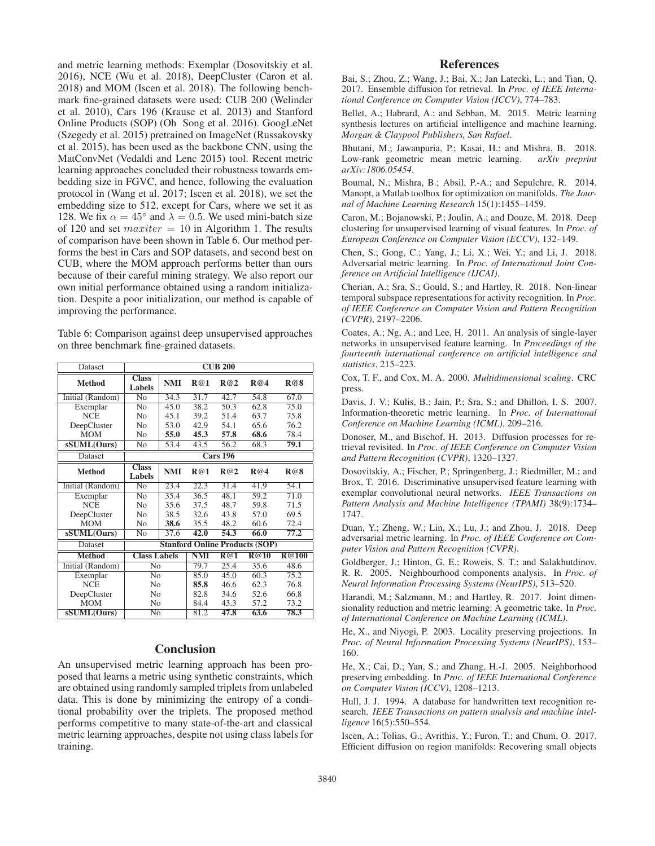and metric learning methods: Exemplar (Dosovitskiy et al. 2016), NCE (Wu et al. 2018), DeepCluster (Caron et al. 2018) and MOM (Iscen et al. 2018). The following benchmark fine-grained datasets were used: CUB 200 (Welinder et al. 2010), Cars 196 (Krause et al. 2013) and Stanford Online Products (SOP) (Oh Song et al. 2016). GoogLeNet (Szegedy et al. 2015) pretrained on ImageNet (Russakovsky et al. 2015), has been used as the backbone CNN, using the MatConvNet (Vedaldi and Lenc 2015) tool. Recent metric learning approaches concluded their robustness towards embedding size in FGVC, and hence, following the evaluation protocol in (Wang et al. 2017; Iscen et al. 2018), we set the embedding size to 512, except for Cars, where we set it as 128. We fix  $\alpha = 45^{\circ}$  and  $\lambda = 0.5$ . We used mini-batch size of 120 and set  $maxiter = 10$  in Algorithm 1. The results of comparison have been shown in Table 6. Our method performs the best in Cars and SOP datasets, and second best on CUB, where the MOM approach performs better than ours because of their careful mining strategy. We also report our own initial performance obtained using a random initialization. Despite a poor initialization, our method is capable of improving the performance.

Table 6: Comparison against deep unsupervised approaches on three benchmark fine-grained datasets.

| <b>Dataset</b>   |                               |            | $\overline{\text{CUB }200}$ |                 |                                       |                   |
|------------------|-------------------------------|------------|-----------------------------|-----------------|---------------------------------------|-------------------|
| <b>Method</b>    | <b>Class</b><br>Labels        | <b>NMI</b> | R@1                         | R@2             | R@4                                   | R@8               |
| Initial (Random) | $\overline{N_{O}}$            | 34.3       | 31.7                        | 42.7            | 54.8                                  | 67.0              |
| Exemplar         | N <sub>0</sub>                | 45.0       | 38.2                        | 50.3            | 62.8                                  | $\overline{75.0}$ |
| <b>NCE</b>       | No                            | 45.1       | 39.2                        | 51.4            | 63.7                                  | 75.8              |
| DeepCluster      | N <sub>0</sub>                | 53.0       | 42.9                        | 54.1            | 65.6                                  | 76.2              |
| <b>MOM</b>       | No                            | 55.0       | 45.3                        | 57.8            | 68.6                                  | 78.4              |
| sSUML(Ours)      | No                            | 53.4       | 43.5                        | 56.2            | 68.3                                  | 79.1              |
| Dataset          |                               |            |                             | <b>Cars 196</b> |                                       |                   |
| <b>Method</b>    | <b>Class</b><br><b>Labels</b> | <b>NMI</b> | R@1                         | R@2             | R@4                                   | R@8               |
| Initial (Random) | $\overline{No}$               | 23.4       | 22.3                        | 31.4            | 41.9                                  | 54.1              |
| Exemplar         | N <sub>0</sub>                | 35.4       | 36.5                        | 48.1            | 59.2                                  | 71.0              |
| <b>NCE</b>       | N <sub>0</sub>                | 35.6       | 37.5                        | 48.7            | 59.8                                  | 71.5              |
| DeepCluster      | N <sub>0</sub>                | 38.5       | 32.6                        | 43.8            | 57.0                                  | 69.5              |
| <b>MOM</b>       | No                            | 38.6       | 35.5                        | 48.2            | 60.6                                  | 72.4              |
| sSUML(Ours)      | N <sub>0</sub>                | 37.6       | 42.0                        | 54.3            | 66.0                                  | 77.2              |
| Dataset          |                               |            |                             |                 | <b>Stanford Online Products (SOP)</b> |                   |
| <b>Method</b>    | <b>Class Labels</b>           |            | <b>NMI</b>                  | R@1             | R@10                                  | <b>R@100</b>      |
| Initial (Random) | N <sub>0</sub>                |            | 79.7                        | 25.4            | 35.6                                  | 48.6              |
| Exemplar         | N <sub>0</sub>                |            | 85.0                        | 45.0            | 60.3                                  | 75.2              |
| <b>NCE</b>       | N <sub>0</sub>                |            | 85.8                        | 46.6            | 62.3                                  | 76.8              |
| DeepCluster      | No                            |            | 82.8                        | 34.6            | 52.6                                  | 66.8              |
| <b>MOM</b>       | No                            |            | 84.4                        | 43.3            | 57.2                                  | 73.2              |
| sSUML(Ours)      | No                            |            | 81.2                        | 47.8            | 63.6                                  | 78.3              |

## **Conclusion**

An unsupervised metric learning approach has been proposed that learns a metric using synthetic constraints, which are obtained using randomly sampled triplets from unlabeled data. This is done by minimizing the entropy of a conditional probability over the triplets. The proposed method performs competitive to many state-of-the-art and classical metric learning approaches, despite not using class labels for training.

## References

Bai, S.; Zhou, Z.; Wang, J.; Bai, X.; Jan Latecki, L.; and Tian, Q. 2017. Ensemble diffusion for retrieval. In *Proc. of IEEE International Conference on Computer Vision (ICCV)*, 774–783.

Bellet, A.; Habrard, A.; and Sebban, M. 2015. Metric learning synthesis lectures on artificial intelligence and machine learning. *Morgan & Claypool Publishers, San Rafael*.

Bhutani, M.; Jawanpuria, P.; Kasai, H.; and Mishra, B. 2018.<br>Low-rank geometric mean metric learning. arXiv preprint Low-rank geometric mean metric learning. *arXiv:1806.05454*.

Boumal, N.; Mishra, B.; Absil, P.-A.; and Sepulchre, R. 2014. Manopt, a Matlab toolbox for optimization on manifolds. *The Journal of Machine Learning Research* 15(1):1455–1459.

Caron, M.; Bojanowski, P.; Joulin, A.; and Douze, M. 2018. Deep clustering for unsupervised learning of visual features. In *Proc. of European Conference on Computer Vision (ECCV)*, 132–149.

Chen, S.; Gong, C.; Yang, J.; Li, X.; Wei, Y.; and Li, J. 2018. Adversarial metric learning. In *Proc. of International Joint Conference on Artificial Intelligence (IJCAI)*.

Cherian, A.; Sra, S.; Gould, S.; and Hartley, R. 2018. Non-linear temporal subspace representations for activity recognition. In *Proc. of IEEE Conference on Computer Vision and Pattern Recognition (CVPR)*, 2197–2206.

Coates, A.; Ng, A.; and Lee, H. 2011. An analysis of single-layer networks in unsupervised feature learning. In *Proceedings of the fourteenth international conference on artificial intelligence and statistics*, 215–223.

Cox, T. F., and Cox, M. A. 2000. *Multidimensional scaling*. CRC press.

Davis, J. V.; Kulis, B.; Jain, P.; Sra, S.; and Dhillon, I. S. 2007. Information-theoretic metric learning. In *Proc. of International Conference on Machine Learning (ICML)*, 209–216.

Donoser, M., and Bischof, H. 2013. Diffusion processes for retrieval revisited. In *Proc. of IEEE Conference on Computer Vision and Pattern Recognition (CVPR)*, 1320–1327.

Dosovitskiy, A.; Fischer, P.; Springenberg, J.; Riedmiller, M.; and Brox, T. 2016. Discriminative unsupervised feature learning with exemplar convolutional neural networks. *IEEE Transactions on Pattern Analysis and Machine Intelligence (TPAMI)* 38(9):1734– 1747.

Duan, Y.; Zheng, W.; Lin, X.; Lu, J.; and Zhou, J. 2018. Deep adversarial metric learning. In *Proc. of IEEE Conference on Computer Vision and Pattern Recognition (CVPR)*.

Goldberger, J.; Hinton, G. E.; Roweis, S. T.; and Salakhutdinov, R. R. 2005. Neighbourhood components analysis. In *Proc. of Neural Information Processing Systems (NeurIPS)*, 513–520.

Harandi, M.; Salzmann, M.; and Hartley, R. 2017. Joint dimensionality reduction and metric learning: A geometric take. In *Proc. of International Conference on Machine Learning (ICML)*.

He, X., and Niyogi, P. 2003. Locality preserving projections. In *Proc. of Neural Information Processing Systems (NeurIPS)*, 153– 160.

He, X.; Cai, D.; Yan, S.; and Zhang, H.-J. 2005. Neighborhood preserving embedding. In *Proc. of IEEE International Conference on Computer Vision (ICCV)*, 1208–1213.

Hull, J. J. 1994. A database for handwritten text recognition research. *IEEE Transactions on pattern analysis and machine intelligence* 16(5):550–554.

Iscen, A.; Tolias, G.; Avrithis, Y.; Furon, T.; and Chum, O. 2017. Efficient diffusion on region manifolds: Recovering small objects